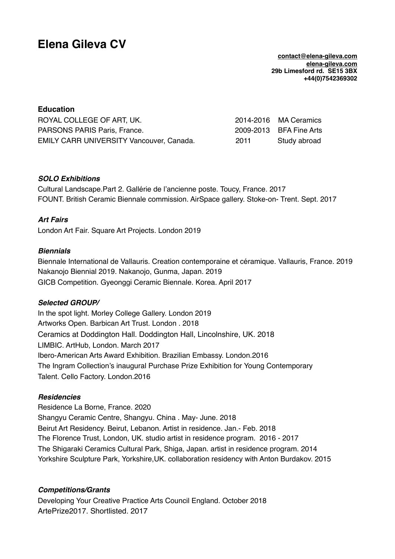# **Elena Gileva CV**

**[contact@elena-gileva.com](mailto:contact@elena-gileva.com) [elena-gileva.com](http://elena-gileva.com) 29b Limesford rd. SE15 3BX +44(0)7542369302**

## **Education**

| ROYAL COLLEGE OF ART, UK.                       |      | 2014-2016 MA Ceramics   |
|-------------------------------------------------|------|-------------------------|
| PARSONS PARIS Paris, France.                    |      | 2009-2013 BFA Fine Arts |
| <b>EMILY CARR UNIVERSITY Vancouver, Canada.</b> | 2011 | Study abroad            |

## *SOLO Exhibitions*

Cultural Landscape.Part 2. Gallérie de l'ancienne poste. Toucy, France. 2017 FOUNT. British Ceramic Biennale commission. AirSpace gallery. Stoke-on- Trent. Sept. 2017

## *Art Fairs*

London Art Fair. Square Art Projects. London 2019

#### *Biennials*

Biennale International de Vallauris. Creation contemporaine et céramique. Vallauris, France. 2019 Nakanojo Biennial 2019. Nakanojo, Gunma, Japan. 2019 GICB Competition. Gyeonggi Ceramic Biennale. Korea. April 2017

#### *Selected GROUP/*

In the spot light. Morley College Gallery. London 2019 Artworks Open. Barbican Art Trust. London . 2018 Ceramics at Doddington Hall. Doddington Hall, Lincolnshire, UK. 2018 LIMBIC. ArtHub, London. March 2017 Ibero-American Arts Award Exhibition. Brazilian Embassy. London.2016 The Ingram Collection's inaugural Purchase Prize Exhibition for Young Contemporary Talent. Cello Factory. London.2016

#### *Residencies*

Residence La Borne, France. 2020 Shangyu Ceramic Centre, Shangyu. China . May- June. 2018 Beirut Art Residency. Beirut, Lebanon. Artist in residence. Jan.- Feb. 2018 The Florence Trust, London, UK. studio artist in residence program. 2016 - 2017 The Shigaraki Ceramics Cultural Park, Shiga, Japan. artist in residence program. 2014 Yorkshire Sculpture Park, Yorkshire,UK. collaboration residency with Anton Burdakov. 2015

#### *Competitions/Grants*

Developing Your Creative Practice Arts Council England. October 2018 ArtePrize2017. Shortlisted. 2017